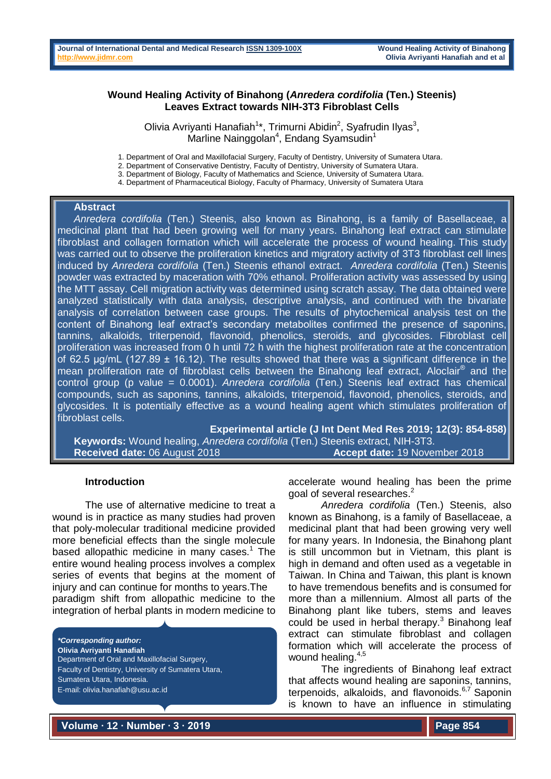## **Wound Healing Activity of Binahong (***Anredera cordifolia* **(Ten.) Steenis) Leaves Extract towards NIH-3T3 Fibroblast Cells**

Olivia Avriyanti Hanafiah<sup>1\*</sup>, Trimurni Abidin<sup>2</sup>, Syafrudin Ilyas<sup>3</sup>, Marline Nainggolan<sup>4</sup>, Endang Syamsudin<sup>1</sup>

1. Department of Oral and Maxillofacial Surgery, Faculty of Dentistry, University of Sumatera Utara.

2. Department of Conservative Dentistry, Faculty of Dentistry, University of Sumatera Utara.

3. Department of Biology, Faculty of Mathematics and Science, University of Sumatera Utara.

4. Department of Pharmaceutical Biology, Faculty of Pharmacy, University of Sumatera Utara

#### **Abstract**

*Anredera cordifolia* (Ten.) Steenis, also known as Binahong, is a family of Basellaceae, a medicinal plant that had been growing well for many years. Binahong leaf extract can stimulate fibroblast and collagen formation which will accelerate the process of wound healing. This study was carried out to observe the proliferation kinetics and migratory activity of 3T3 fibroblast cell lines induced by *Anredera cordifolia* (Ten.) Steenis ethanol extract. *Anredera cordifolia* (Ten.) Steenis powder was extracted by maceration with 70% ethanol. Proliferation activity was assessed by using the MTT assay. Cell migration activity was determined using scratch assay. The data obtained were analyzed statistically with data analysis, descriptive analysis, and continued with the bivariate analysis of correlation between case groups. The results of phytochemical analysis test on the content of Binahong leaf extract's secondary metabolites confirmed the presence of saponins, tannins, alkaloids, triterpenoid, flavonoid, phenolics, steroids, and glycosides. Fibroblast cell proliferation was increased from 0 h until 72 h with the highest proliferation rate at the concentration of 62.5  $\mu$ g/mL (127.89  $\pm$  16.12). The results showed that there was a significant difference in the mean proliferation rate of fibroblast cells between the Binahong leaf extract, Aloclair® and the control group (p value = 0.0001). *Anredera cordifolia* (Ten.) Steenis leaf extract has chemical compounds, such as saponins, tannins, alkaloids, triterpenoid, flavonoid, phenolics, steroids, and glycosides. It is potentially effective as a wound healing agent which stimulates proliferation of fibroblast cells.

**Experimental article (J Int Dent Med Res 2019; 12(3): 854-858) Keywords:** Wound healing, *Anredera cordifolia* (Ten.) Steenis extract, NIH-3T3. **Received date:** 06 August 2018 **Accept date:** 19 November 2018

#### **Introduction**

The use of alternative medicine to treat a wound is in practice as many studies had proven that poly-molecular traditional medicine provided more beneficial effects than the single molecule based allopathic medicine in many cases.<sup>1</sup> The entire wound healing process involves a complex series of events that begins at the moment of injury and can continue for months to years.The paradigm shift from allopathic medicine to the integration of herbal plants in modern medicine to

*\*Corresponding author:* **Olivia Avriyanti Hanafiah** Department of Oral and Maxillofacial Surgery, Faculty of Dentistry, University of Sumatera Utara, Sumatera Utara, Indonesia. E-mail: olivia.hanafiah@usu.ac.id

accelerate wound healing has been the prime goal of several researches.<sup>2</sup>

*Anredera cordifolia* (Ten.) Steenis, also known as Binahong, is a family of Basellaceae, a medicinal plant that had been growing very well for many years. In Indonesia, the Binahong plant is still uncommon but in Vietnam, this plant is high in demand and often used as a vegetable in Taiwan. In China and Taiwan, this plant is known to have tremendous benefits and is consumed for more than a millennium. Almost all parts of the Binahong plant like tubers, stems and leaves could be used in herbal therapy.<sup>3</sup> Binahong leaf extract can stimulate fibroblast and collagen formation which will accelerate the process of wound healing.<sup>4,5</sup>

The ingredients of Binahong leaf extract that affects wound healing are saponins, tannins, terpenoids, alkaloids, and flavonoids.<sup>6,7</sup> Saponin is known to have an influence in stimulating

**Volume ∙ 12 ∙ Number ∙ 3 ∙ 2019**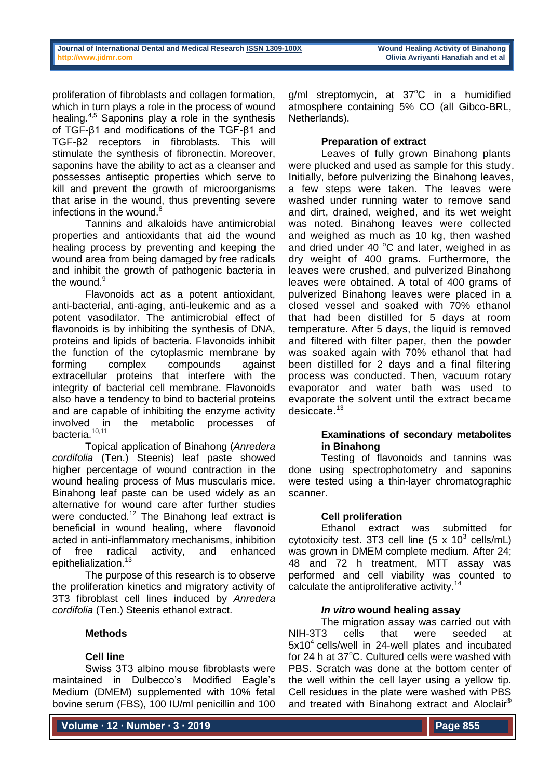proliferation of fibroblasts and collagen formation, which in turn plays a role in the process of wound healing.4,5 Saponins play a role in the synthesis of TGF-β1 and modifications of the TGF-β1 and TGF-β2 receptors in fibroblasts. This will stimulate the synthesis of fibronectin. Moreover, saponins have the ability to act as a cleanser and possesses antiseptic properties which serve to kill and prevent the growth of microorganisms that arise in the wound, thus preventing severe infections in the wound.<sup>8</sup>

Tannins and alkaloids have antimicrobial properties and antioxidants that aid the wound healing process by preventing and keeping the wound area from being damaged by free radicals and inhibit the growth of pathogenic bacteria in the wound.<sup>9</sup>

Flavonoids act as a potent antioxidant, anti-bacterial, anti-aging, anti-leukemic and as a potent vasodilator. The antimicrobial effect of flavonoids is by inhibiting the synthesis of DNA, proteins and lipids of bacteria. Flavonoids inhibit the function of the cytoplasmic membrane by forming complex compounds against extracellular proteins that interfere with the integrity of bacterial cell membrane. Flavonoids also have a tendency to bind to bacterial proteins and are capable of inhibiting the enzyme activity involved in the metabolic processes of bacteria.<sup>10,11</sup>

Topical application of Binahong (*Anredera cordifolia* (Ten.) Steenis) leaf paste showed higher percentage of wound contraction in the wound healing process of Mus muscularis mice. Binahong leaf paste can be used widely as an alternative for wound care after further studies were conducted.<sup>12</sup> The Binahong leaf extract is beneficial in wound healing, where flavonoid acted in anti-inflammatory mechanisms, inhibition<br>of free radical activity, and enhanced of free radical activity, and enhanced epithelialization.<sup>13</sup>

The purpose of this research is to observe the proliferation kinetics and migratory activity of 3T3 fibroblast cell lines induced by *Anredera cordifolia* (Ten.) Steenis ethanol extract.

# **Methods**

# **Cell line**

Swiss 3T3 albino mouse fibroblasts were maintained in Dulbecco's Modified Eagle's Medium (DMEM) supplemented with 10% fetal bovine serum (FBS), 100 IU/ml penicillin and 100

**Volume ∙ 12 ∙ Number ∙ 3 ∙ 2019**

 $g/ml$  streptomycin, at 37 $^{\circ}$ C in a humidified atmosphere containing 5% CO (all Gibco-BRL, Netherlands).

# **Preparation of extract**

Leaves of fully grown Binahong plants were plucked and used as sample for this study. Initially, before pulverizing the Binahong leaves, a few steps were taken. The leaves were washed under running water to remove sand and dirt, drained, weighed, and its wet weight was noted. Binahong leaves were collected and weighed as much as 10 kg, then washed and dried under 40 $\degree$ C and later, weighed in as dry weight of 400 grams. Furthermore, the leaves were crushed, and pulverized Binahong leaves were obtained. A total of 400 grams of pulverized Binahong leaves were placed in a closed vessel and soaked with 70% ethanol that had been distilled for 5 days at room temperature. After 5 days, the liquid is removed and filtered with filter paper, then the powder was soaked again with 70% ethanol that had been distilled for 2 days and a final filtering process was conducted. Then, vacuum rotary evaporator and water bath was used to evaporate the solvent until the extract became desiccate. 13

# **Examinations of secondary metabolites in Binahong**

Testing of flavonoids and tannins was done using spectrophotometry and saponins were tested using a thin-layer chromatographic scanner.

# **Cell proliferation**

Ethanol extract was submitted for cytotoxicity test. 3T3 cell line  $(5 \times 10^3 \text{ cells/mL})$ was grown in DMEM complete medium. After 24; 48 and 72 h treatment, MTT assay was performed and cell viability was counted to calculate the antiproliferative activity.<sup>14</sup>

# *In vitro* **wound healing assay**

The migration assay was carried out with NIH-3T3 cells that were seeded at 5x10<sup>4</sup> cells/well in 24-well plates and incubated for 24 h at  $37^{\circ}$ C. Cultured cells were washed with PBS. Scratch was done at the bottom center of the well within the cell layer using a yellow tip. Cell residues in the plate were washed with PBS and treated with Binahong extract and Aloclair®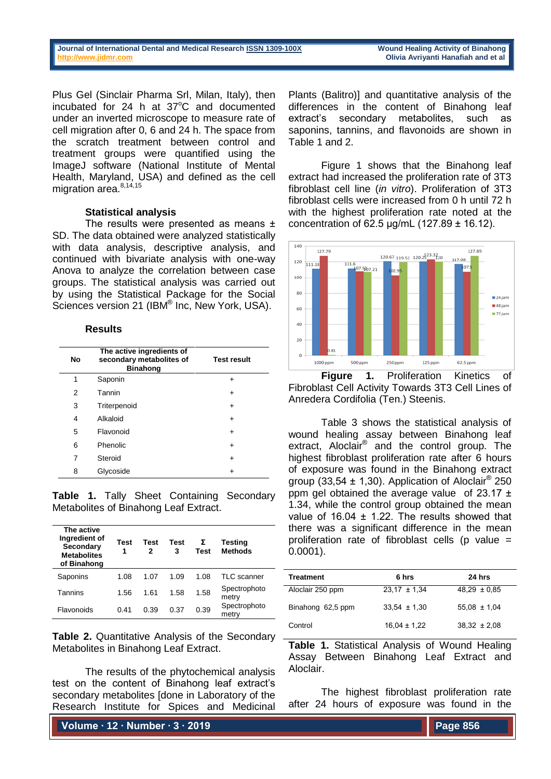| Journal of International Dental and Medical Research ISSN 1309-100X |  |  |  |
|---------------------------------------------------------------------|--|--|--|
| http://www.iidmr.com                                                |  |  |  |

Plus Gel (Sinclair Pharma Srl, Milan, Italy), then incubated for  $24$  h at  $37^{\circ}$ C and documented under an inverted microscope to measure rate of cell migration after 0, 6 and 24 h. The space from the scratch treatment between control and treatment groups were quantified using the ImageJ software (National Institute of Mental Health, Maryland, USA) and defined as the cell migration area.<sup>8,14,15</sup>

#### **Statistical analysis**

The results were presented as means ± SD. The data obtained were analyzed statistically with data analysis, descriptive analysis, and continued with bivariate analysis with one-way Anova to analyze the correlation between case groups. The statistical analysis was carried out by using the Statistical Package for the Social Sciences version 21 (IBM<sup>®</sup> Inc, New York, USA).

## **Results**

| No | The active ingredients of<br>secondary metabolites of<br><b>Binahong</b> | <b>Test result</b> |
|----|--------------------------------------------------------------------------|--------------------|
| 1  | Saponin                                                                  | ٠                  |
| 2  | Tannin                                                                   | ٠                  |
| 3  | Triterpenoid                                                             | ٠                  |
| 4  | Alkaloid                                                                 | ٠                  |
| 5  | Flavonoid                                                                | ٠                  |
| 6  | Phenolic                                                                 | $\ddot{}$          |
| 7  | Steroid                                                                  | ٠                  |
| 8  | Glycoside                                                                | ٠                  |

**Table 1.** Tally Sheet Containing Secondary Metabolites of Binahong Leaf Extract.

| The active<br>Ingredient of<br>Secondary<br><b>Metabolites</b><br>of Binahong | Test<br>1 | Test<br>2 | Test<br>3 | Σ<br>Test | <b>Testing</b><br><b>Methods</b> |
|-------------------------------------------------------------------------------|-----------|-----------|-----------|-----------|----------------------------------|
| Saponins                                                                      | 1.08      | 1.07      | 1.09      | 1.08      | TLC scanner                      |
| Tannins                                                                       | 1.56      | 1.61      | 1.58      | 1.58      | Spectrophoto<br>metry            |
| Flavonoids                                                                    | 0.41      | 0.39      | 0.37      | 0.39      | Spectrophoto<br>metry            |

**Table 2.** Quantitative Analysis of the Secondary Metabolites in Binahong Leaf Extract.

The results of the phytochemical analysis test on the content of Binahong leaf extract's secondary metabolites [done in Laboratory of the Research Institute for Spices and Medicinal

**Volume ∙ 12 ∙ Number ∙ 3 ∙ 2019**

Plants (Balitro)] and quantitative analysis of the differences in the content of Binahong leaf extract's secondary metabolites, such as saponins, tannins, and flavonoids are shown in Table 1 and 2.

Figure 1 shows that the Binahong leaf extract had increased the proliferation rate of 3T3 fibroblast cell line (*in vitro*). Proliferation of 3T3 fibroblast cells were increased from 0 h until 72 h with the highest proliferation rate noted at the concentration of 62.5 µg/mL (127.89 ± 16.12).



**Figure 1.** Proliferation Kinetics of Fibroblast Cell Activity Towards 3T3 Cell Lines of Anredera Cordifolia (Ten.) Steenis.

Table 3 shows the statistical analysis of wound healing assay between Binahong leaf extract, Aloclair® and the control group. The highest fibroblast proliferation rate after 6 hours of exposure was found in the Binahong extract group (33,54  $\pm$  1,30). Application of Aloclair<sup>®</sup> 250 ppm gel obtained the average value of  $23.17 \pm 1$ 1.34, while the control group obtained the mean value of  $16.04 \pm 1.22$ . The results showed that there was a significant difference in the mean proliferation rate of fibroblast cells (p value  $=$ 0.0001).

| <b>Treatment</b>  | 6 hrs            | 24 hrs           |
|-------------------|------------------|------------------|
| Aloclair 250 ppm  | $23.17 \pm 1.34$ | $48.29 \pm 0.85$ |
| Binahong 62,5 ppm | $33,54 \pm 1,30$ | $55.08 \pm 1.04$ |
| Control           | $16,04 \pm 1,22$ | $38.32 \pm 2.08$ |

**Table 1.** Statistical Analysis of Wound Healing Assay Between Binahong Leaf Extract and Aloclair.

The highest fibroblast proliferation rate after 24 hours of exposure was found in the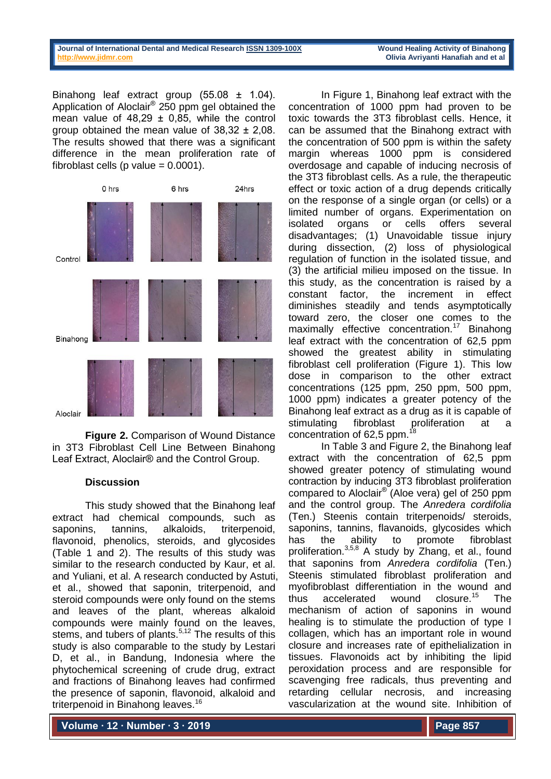| Journal of International Dental and Medical Research ISSN 1309-100X | <b>Wound Healing Activity of Binahong</b> |
|---------------------------------------------------------------------|-------------------------------------------|
| http://www.jidmr.com                                                | Olivia Avriyanti Hanafiah and et al       |
|                                                                     |                                           |

Binahong leaf extract group (55.08 ± 1.04). Application of Aloclair® 250 ppm gel obtained the mean value of  $48.29 \pm 0.85$ , while the control group obtained the mean value of 38,32 ± 2,08. The results showed that there was a significant difference in the mean proliferation rate of fibroblast cells (p value  $= 0.0001$ ).



**Figure 2.** Comparison of Wound Distance in 3T3 Fibroblast Cell Line Between Binahong Leaf Extract, Aloclair® and the Control Group.

## **Discussion**

This study showed that the Binahong leaf extract had chemical compounds, such as saponins, tannins, alkaloids, triterpenoid, flavonoid, phenolics, steroids, and glycosides (Table 1 and 2). The results of this study was similar to the research conducted by Kaur, et al. and Yuliani, et al. A research conducted by Astuti, et al., showed that saponin, triterpenoid, and steroid compounds were only found on the stems and leaves of the plant, whereas alkaloid compounds were mainly found on the leaves, stems, and tubers of plants. $5,12$  The results of this study is also comparable to the study by Lestari D, et al., in Bandung, Indonesia where the phytochemical screening of crude drug, extract and fractions of Binahong leaves had confirmed the presence of saponin, flavonoid, alkaloid and triterpenoid in Binahong leaves.<sup>16</sup>

In Figure 1, Binahong leaf extract with the concentration of 1000 ppm had proven to be toxic towards the 3T3 fibroblast cells. Hence, it can be assumed that the Binahong extract with the concentration of 500 ppm is within the safety margin whereas 1000 ppm is considered overdosage and capable of inducing necrosis of the 3T3 fibroblast cells. As a rule, the therapeutic effect or toxic action of a drug depends critically on the response of a single organ (or cells) or a limited number of organs. Experimentation on isolated organs or cells offers several disadvantages; (1) Unavoidable tissue injury during dissection, (2) loss of physiological regulation of function in the isolated tissue, and (3) the artificial milieu imposed on the tissue. In this study, as the concentration is raised by a constant factor, the increment in effect diminishes steadily and tends asymptotically toward zero, the closer one comes to the maximally effective concentration.<sup>17</sup> Binahong leaf extract with the concentration of 62,5 ppm showed the greatest ability in stimulating fibroblast cell proliferation (Figure 1). This low dose in comparison to the other extract concentrations (125 ppm, 250 ppm, 500 ppm, 1000 ppm) indicates a greater potency of the Binahong leaf extract as a drug as it is capable of stimulating fibroblast proliferation at a concentration of 62,5 ppm. $^{18}$ 

In Table 3 and Figure 2, the Binahong leaf extract with the concentration of 62,5 ppm showed greater potency of stimulating wound contraction by inducing 3T3 fibroblast proliferation compared to Aloclair® (Aloe vera) gel of 250 ppm and the control group. The *Anredera cordifolia*  (Ten.) Steenis contain triterpenoids/ steroids, saponins, tannins, flavanoids, glycosides which has the ability to promote fibroblast proliferation.3,5,8 A study by Zhang, et al., found that saponins from *Anredera cordifolia* (Ten.) Steenis stimulated fibroblast proliferation and myofibroblast differentiation in the wound and thus accelerated wound closure.<sup>15</sup> The mechanism of action of saponins in wound healing is to stimulate the production of type I collagen, which has an important role in wound closure and increases rate of epithelialization in tissues. Flavonoids act by inhibiting the lipid peroxidation process and are responsible for scavenging free radicals, thus preventing and retarding cellular necrosis, and increasing vascularization at the wound site. Inhibition of

**Volume ∙ 12 ∙ Number ∙ 3 ∙ 2019**